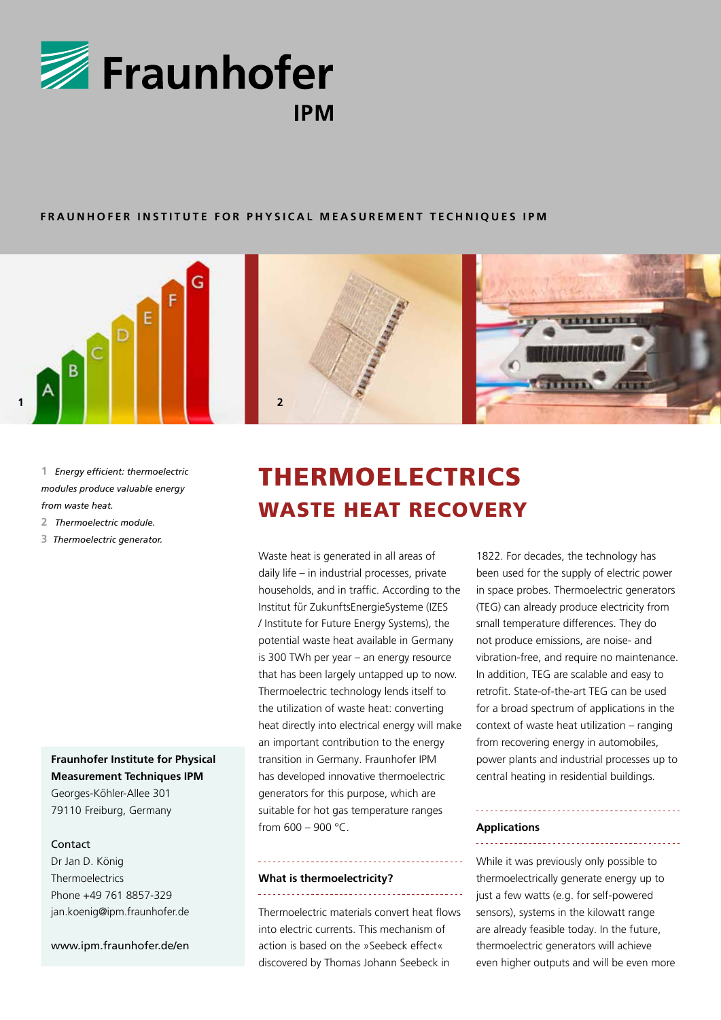

#### **FRAUNHOFER INSTITUTE FOR PHYSICAL MEASUREMENT TECHNIQUES IPM**





**1** *Energy efficient: thermoelectric modules produce valuable energy from waste heat.* 

- **2** *Thermoelectric module.*
- **3** *Thermoelectric generator.*

# **Fraunhofer Institute for Physical Measurement Techniques IPM**

Georges-Köhler-Allee 301 79110 Freiburg, Germany

### Contact

Dr Jan D. König Thermoelectrics Phone +49 761 8857-329 jan.koenig@ipm.fraunhofer.de

www.ipm.fraunhofer.de/en

# THERMOELECTRICS WASTE HEAT RECOVERY

Waste heat is generated in all areas of daily life – in industrial processes, private households, and in traffic. According to the Institut für ZukunftsEnergieSysteme (IZES / Institute for Future Energy Systems), the potential waste heat available in Germany is 300 TWh per year – an energy resource that has been largely untapped up to now. Thermoelectric technology lends itself to the utilization of waste heat: converting heat directly into electrical energy will make an important contribution to the energy transition in Germany. Fraunhofer IPM has developed innovative thermoelectric generators for this purpose, which are suitable for hot gas temperature ranges from  $600 - 900 °C$ .

#### **What is thermoelectricity?**

Thermoelectric materials convert heat flows into electric currents. This mechanism of action is based on the »Seebeck effect« discovered by Thomas Johann Seebeck in

1822. For decades, the technology has been used for the supply of electric power in space probes. Thermoelectric generators (TEG) can already produce electricity from small temperature differences. They do not produce emissions, are noise- and vibration-free, and require no maintenance. In addition, TEG are scalable and easy to retrofit. State-of-the-art TEG can be used for a broad spectrum of applications in the context of waste heat utilization – ranging from recovering energy in automobiles, power plants and industrial processes up to central heating in residential buildings.

## **Applications**

While it was previously only possible to thermoelectrically generate energy up to just a few watts (e.g. for self-powered sensors), systems in the kilowatt range are already feasible today. In the future, thermoelectric generators will achieve even higher outputs and will be even more